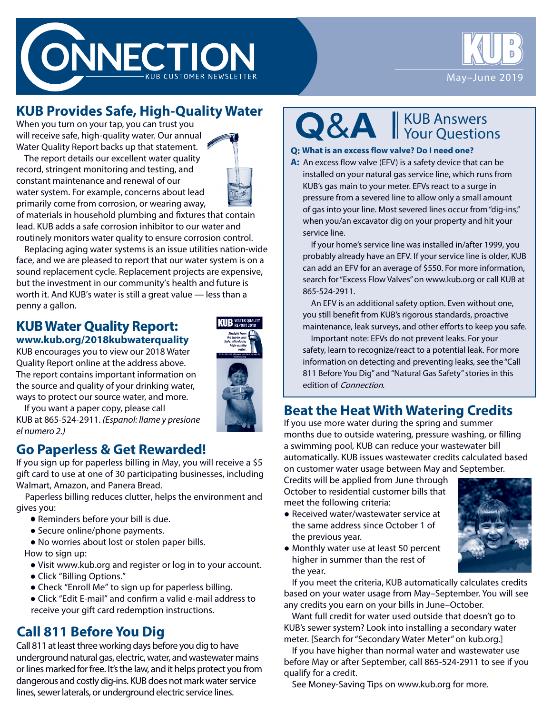



## **KUB Provides Safe, High-Quality Water**

When you turn on your tap, you can trust you will receive safe, high-quality water. Our annual Water Quality Report backs up that statement.

The report details our excellent water quality record, stringent monitoring and testing, and constant maintenance and renewal of our water system. For example, concerns about lead primarily come from corrosion, or wearing away,



of materials in household plumbing and fixtures that contain lead. KUB adds a safe corrosion inhibitor to our water and routinely monitors water quality to ensure corrosion control.

Replacing aging water systems is an issue utilities nation-wide face, and we are pleased to report that our water system is on a sound replacement cycle. Replacement projects are expensive, but the investment in our community's health and future is worth it. And KUB's water is still a great value — less than a penny a gallon.

#### **KUB Water Quality Report: www.kub.org/2018kubwaterquality**

KUB encourages you to view our 2018 Water

Quality Report online at the address above. The report contains important information on the source and quality of your drinking water, ways to protect our source water, and more.



If you want a paper copy, please call KUB at 865-524-2911. *(Espanol: llame y presione el numero 2.)*

#### **Go Paperless & Get Rewarded!**

If you sign up for paperless billing in May, you will receive a \$5 gift card to use at one of 30 participating businesses, including Walmart, Amazon, and Panera Bread.

 Paperless billing reduces clutter, helps the environment and gives you:

- Reminders before your bill is due.
- Secure online/phone payments.
- No worries about lost or stolen paper bills.

How to sign up:

- Visit www.kub.org and register or log in to your account.
- Click "Billing Options."
- Check "Enroll Me" to sign up for paperless billing.
- Click "Edit E-mail" and confirm a valid e-mail address to receive your gift card redemption instructions.

## **Call 811 Before You Dig**

Call 811 at least three working days before you dig to have underground natural gas, electric, water, and wastewater mains or lines marked for free. It's the law, and it helps protect you from dangerous and costly dig-ins. KUB does not mark water service lines, sewer laterals, or underground electric service lines.

KUB Answers Your Questions

#### **Q: What is an excess flow valve? Do I need one?**

**A:** An excess flow valve (EFV) is a safety device that can be installed on your natural gas service line, which runs from KUB's gas main to your meter. EFVs react to a surge in pressure from a severed line to allow only a small amount of gas into your line. Most severed lines occur from "dig-ins," when you/an excavator dig on your property and hit your service line.

If your home's service line was installed in/after 1999, you probably already have an EFV. If your service line is older, KUB can add an EFV for an average of \$550. For more information, search for "Excess Flow Valves" on www.kub.org or call KUB at 865-524-2911.

An EFV is an additional safety option. Even without one, you still benefit from KUB's rigorous standards, proactive maintenance, leak surveys, and other efforts to keep you safe.

Important note: EFVs do not prevent leaks. For your safety, learn to recognize/react to a potential leak. For more information on detecting and preventing leaks, see the "Call 811 Before You Dig" and "Natural Gas Safety" stories in this edition of Connection.

## **Beat the Heat With Watering Credits**

If you use more water during the spring and summer months due to outside watering, pressure washing, or filling a swimming pool, KUB can reduce your wastewater bill automatically. KUB issues wastewater credits calculated based on customer water usage between May and September.

Credits will be applied from June through October to residential customer bills that meet the following criteria:

• Received water/wastewater service at the same address since October 1 of the previous year.



● Monthly water use at least 50 percent higher in summer than the rest of the year.

If you meet the criteria, KUB automatically calculates credits based on your water usage from May–September. You will see any credits you earn on your bills in June–October.

Want full credit for water used outside that doesn't go to KUB's sewer system? Look into installing a secondary water meter. [Search for "Secondary Water Meter" on kub.org.]

If you have higher than normal water and wastewater use before May or after September, call 865-524-2911 to see if you qualify for a credit.

See Money-Saving Tips on www.kub.org for more.